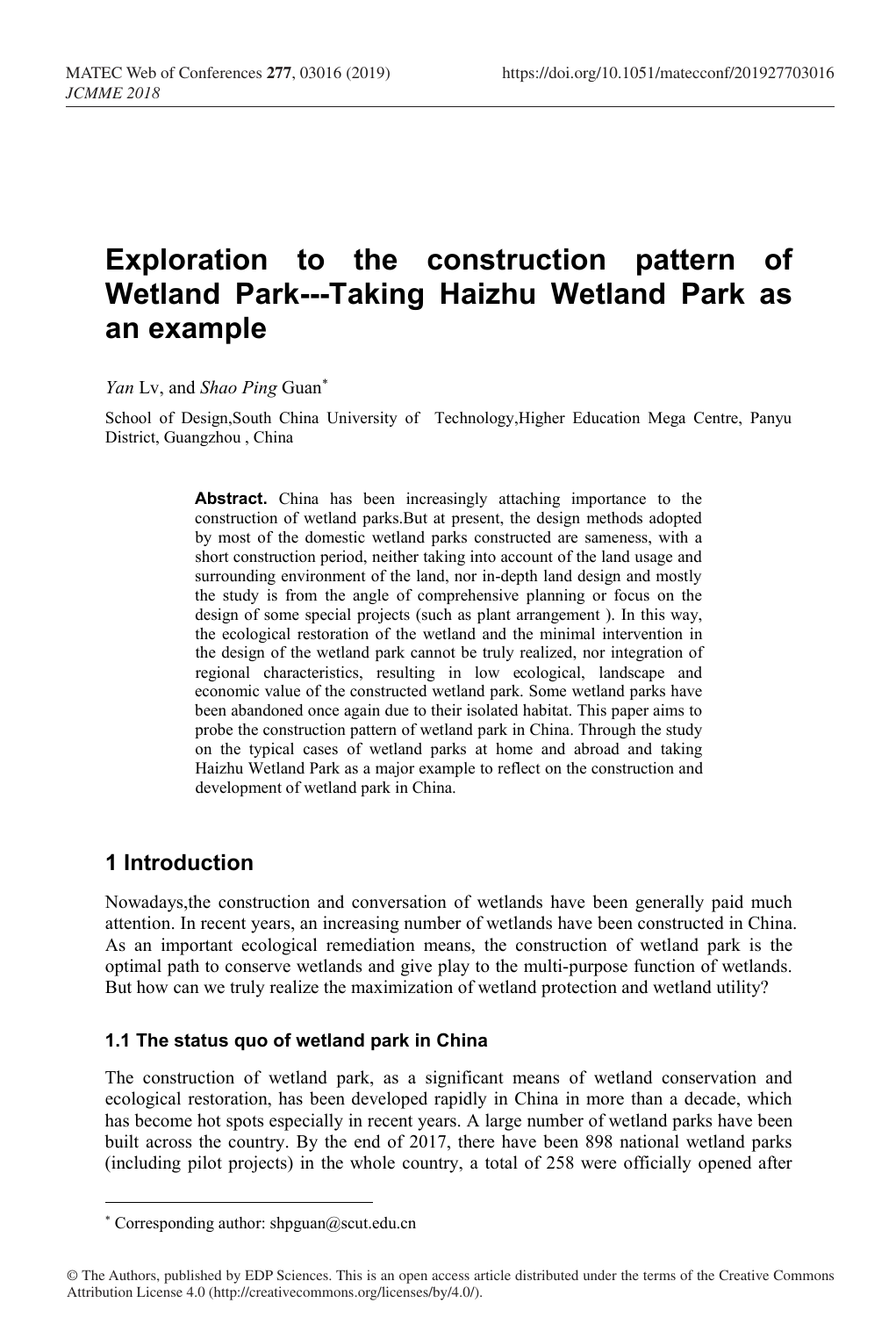# **Exploration to the construction pattern of Wetland Park---Taking Haizhu Wetland Park as an example**

*Yan* Lv, and *Shao Ping* Guan\*

School of Design,South China University of Technology,Higher Education Mega Centre, Panyu District, Guangzhou , China

> **Abstract.** China has been increasingly attaching importance to the construction of wetland parks.But at present, the design methods adopted by most of the domestic wetland parks constructed are sameness, with a short construction period, neither taking into account of the land usage and surrounding environment of the land, nor in-depth land design and mostly the study is from the angle of comprehensive planning or focus on the design of some special projects (such as plant arrangement ). In this way, the ecological restoration of the wetland and the minimal intervention in the design of the wetland park cannot be truly realized, nor integration of regional characteristics, resulting in low ecological, landscape and economic value of the constructed wetland park. Some wetland parks have been abandoned once again due to their isolated habitat. This paper aims to probe the construction pattern of wetland park in China. Through the study on the typical cases of wetland parks at home and abroad and taking Haizhu Wetland Park as a major example to reflect on the construction and development of wetland park in China.

# **1 Introduction**

Nowadays,the construction and conversation of wetlands have been generally paid much attention. In recent years, an increasing number of wetlands have been constructed in China. As an important ecological remediation means, the construction of wetland park is the optimal path to conserve wetlands and give play to the multi-purpose function of wetlands. But how can we truly realize the maximization of wetland protection and wetland utility?

### **1.1 The status quo of wetland park in China**

The construction of wetland park, as a significant means of wetland conservation and ecological restoration, has been developed rapidly in China in more than a decade, which has become hot spots especially in recent years. A large number of wetland parks have been built across the country. By the end of 2017, there have been 898 national wetland parks (including pilot projects) in the whole country, a total of 258 were officially opened after

© The Authors, published by EDP Sciences. This is an open access article distributed under the terms of the Creative Commons Attribution License 4.0 (http://creativecommons.org/licenses/by/4.0/).

<sup>\*</sup> Corresponding author: shpguan@scut.edu.cn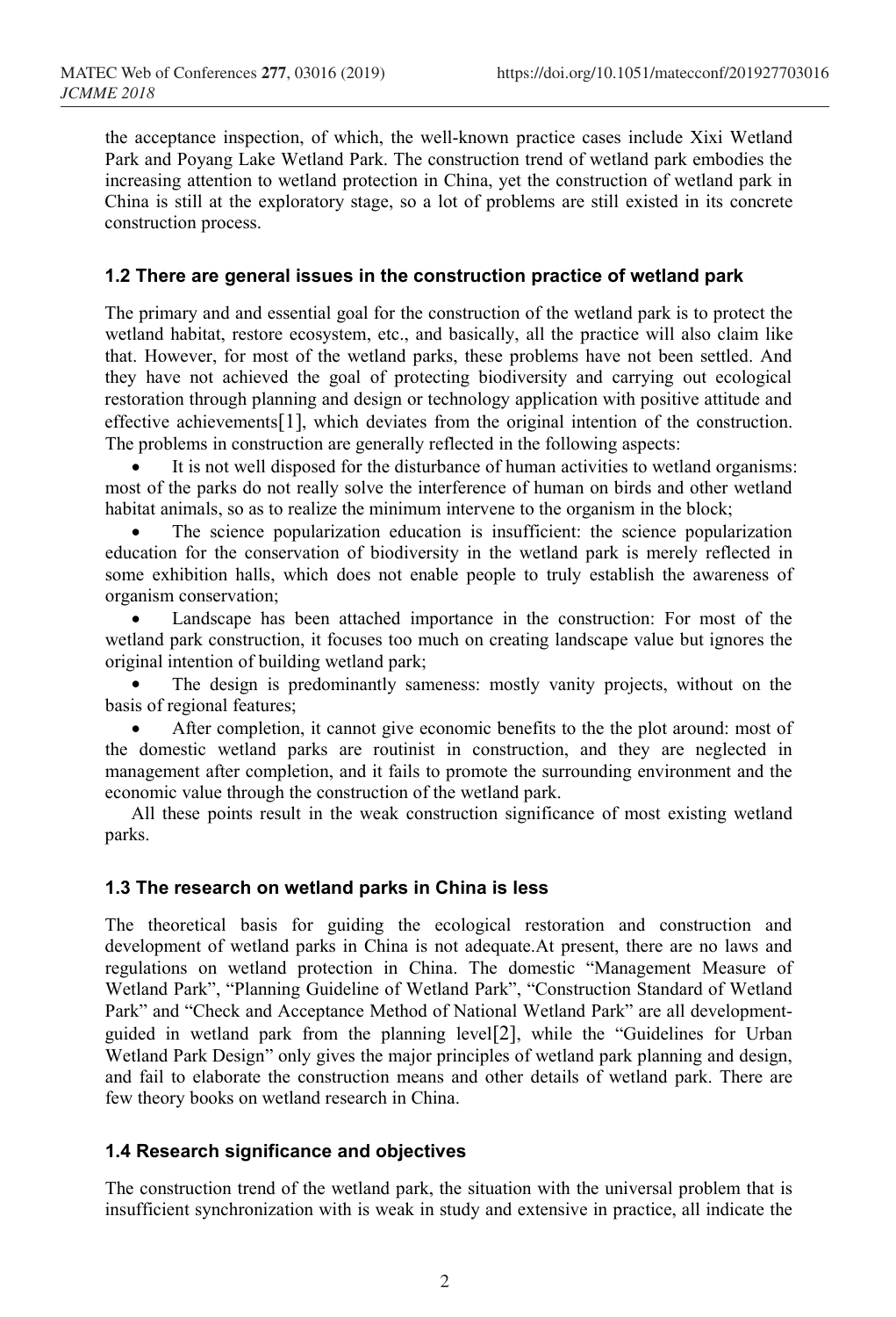the acceptance inspection, of which, the well-known practice cases include Xixi Wetland Park and Poyang Lake Wetland Park. The construction trend of wetland park embodies the increasing attention to wetland protection in China, yet the construction of wetland park in China is still at the exploratory stage, so a lot of problems are still existed in its concrete construction process.

### **1.2 There are general issues in the construction practice of wetland park**

The primary and and essential goal for the construction of the wetland park is to protect the wetland habitat, restore ecosystem, etc., and basically, all the practice will also claim like that. However, for most of the wetland parks, these problems have not been settled. And they have not achieved the goal of protecting biodiversity and carrying out ecological restoration through planning and design or technology application with positive attitude and effective achievements[1], which deviates from the original intention of the construction. The problems in construction are generally reflected in the following aspects:

 It is not well disposed for the disturbance of human activities to wetland organisms: most of the parks do not really solve the interference of human on birds and other wetland habitat animals, so as to realize the minimum intervene to the organism in the block;

 The science popularization education is insufficient: the science popularization education for the conservation of biodiversity in the wetland park is merely reflected in some exhibition halls, which does not enable people to truly establish the awareness of organism conservation;

 Landscape has been attached importance in the construction: For most of the wetland park construction, it focuses too much on creating landscape value but ignores the original intention of building wetland park;

 The design is predominantly sameness: mostly vanity projects, without on the basis of regional features;

 After completion, it cannot give economic benefits to the the plot around: most of the domestic wetland parks are routinist in construction, and they are neglected in management after completion, and it fails to promote the surrounding environment and the economic value through the construction of the wetland park.

All these points result in the weak construction significance of most existing wetland parks.

### **1.3 The research on wetland parks in China is less**

The theoretical basis for guiding the ecological restoration and construction and development of wetland parks in China is not adequate.At present, there are no laws and regulations on wetland protection in China. The domestic "Management Measure of Wetland Park", "Planning Guideline of Wetland Park", "Construction Standard of Wetland Park" and "Check and Acceptance Method of National Wetland Park" are all developmentguided in wetland park from the planning level[2], while the "Guidelines for Urban Wetland Park Design" only gives the major principles of wetland park planning and design, and fail to elaborate the construction means and other details of wetland park. There are few theory books on wetland research in China.

### **1.4 Research significance and objectives**

The construction trend of the wetland park, the situation with the universal problem that is insufficient synchronization with is weak in study and extensive in practice, all indicate the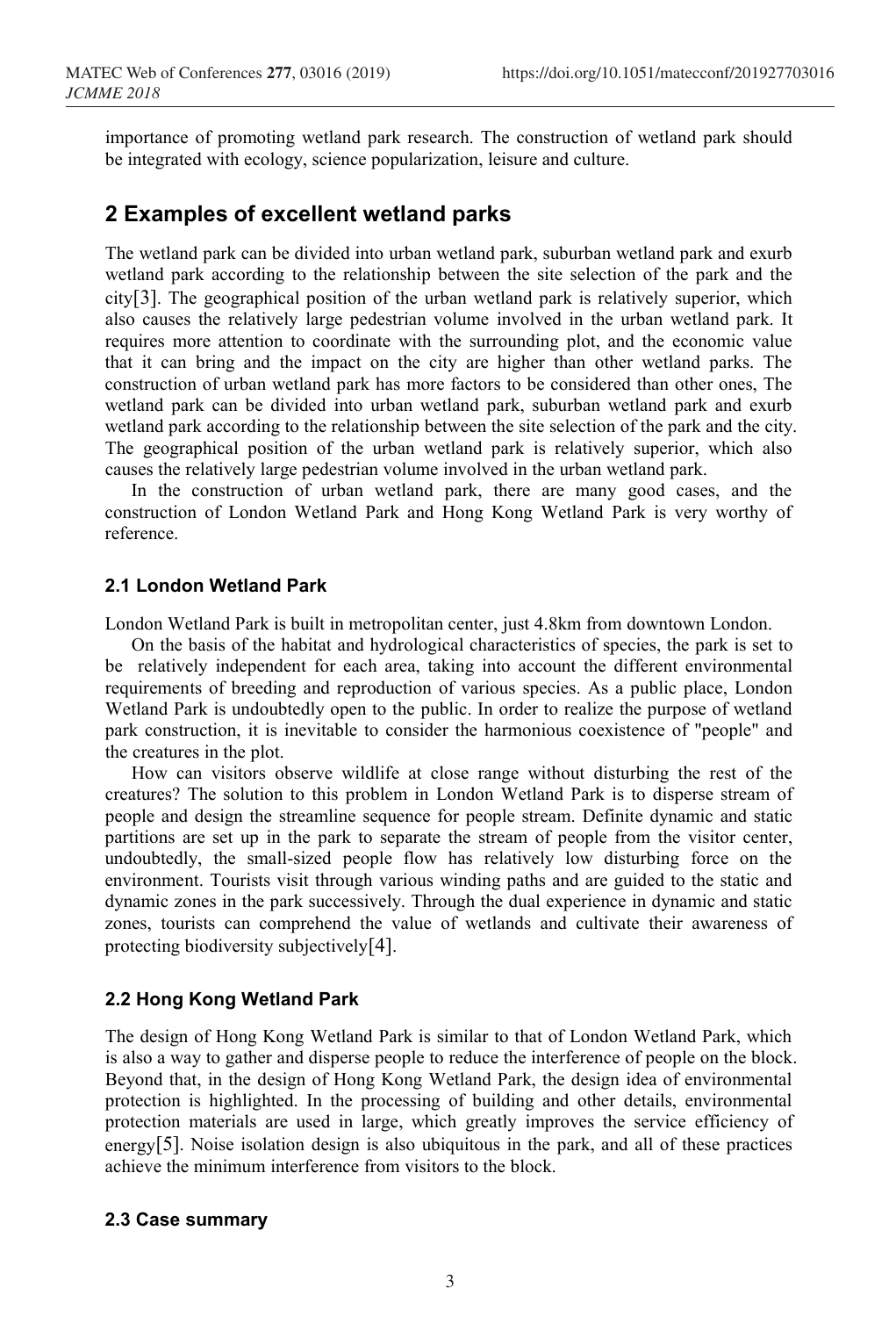importance of promoting wetland park research. The construction of wetland park should be integrated with ecology, science popularization, leisure and culture.

## **2 Examples of excellent wetland parks**

The wetland park can be divided into urban wetland park, suburban wetland park and exurb wetland park according to the relationship between the site selection of the park and the city[3]. The geographical position of the urban wetland park is relatively superior, which also causes the relatively large pedestrian volume involved in the urban wetland park. It requires more attention to coordinate with the surrounding plot, and the economic value that it can bring and the impact on the city are higher than other wetland parks. The construction of urban wetland park has more factors to be considered than other ones, The wetland park can be divided into urban wetland park, suburban wetland park and exurb wetland park according to the relationship between the site selection of the park and the city. The geographical position of the urban wetland park is relatively superior, which also causes the relatively large pedestrian volume involved in the urban wetland park.

In the construction of urban wetland park, there are many good cases, and the construction of London Wetland Park and Hong Kong Wetland Park is very worthy of reference.

#### **2.1 London Wetland Park**

London Wetland Park is built in metropolitan center, just 4.8km from downtown London.

On the basis of the habitat and hydrological characteristics of species, the park is set to be relatively independent for each area, taking into account the different environmental requirements of breeding and reproduction of various species. As a public place, London Wetland Park is undoubtedly open to the public. In order to realize the purpose of wetland park construction, it is inevitable to consider the harmonious coexistence of "people" and the creatures in the plot.

How can visitors observe wildlife at close range without disturbing the rest of the creatures? The solution to this problem in London Wetland Park is to disperse stream of people and design the streamline sequence for people stream. Definite dynamic and static partitions are set up in the park to separate the stream of people from the visitor center, undoubtedly, the small-sized people flow has relatively low disturbing force on the environment. Tourists visit through various winding paths and are guided to the static and dynamic zones in the park successively. Through the dual experience in dynamic and static zones, tourists can comprehend the value of wetlands and cultivate their awareness of protecting biodiversity subjectively[4].

#### **2.2 Hong Kong Wetland Park**

The design of Hong Kong Wetland Park is similar to that of London Wetland Park, which is also a way to gather and disperse people to reduce the interference of people on the block. Beyond that, in the design of Hong Kong Wetland Park, the design idea of environmental protection is highlighted. In the processing of building and other details, environmental protection materials are used in large, which greatly improves the service efficiency of energy[5]. Noise isolation design is also ubiquitous in the park, and all of these practices achieve the minimum interference from visitors to the block.

#### **2.3 Case summary**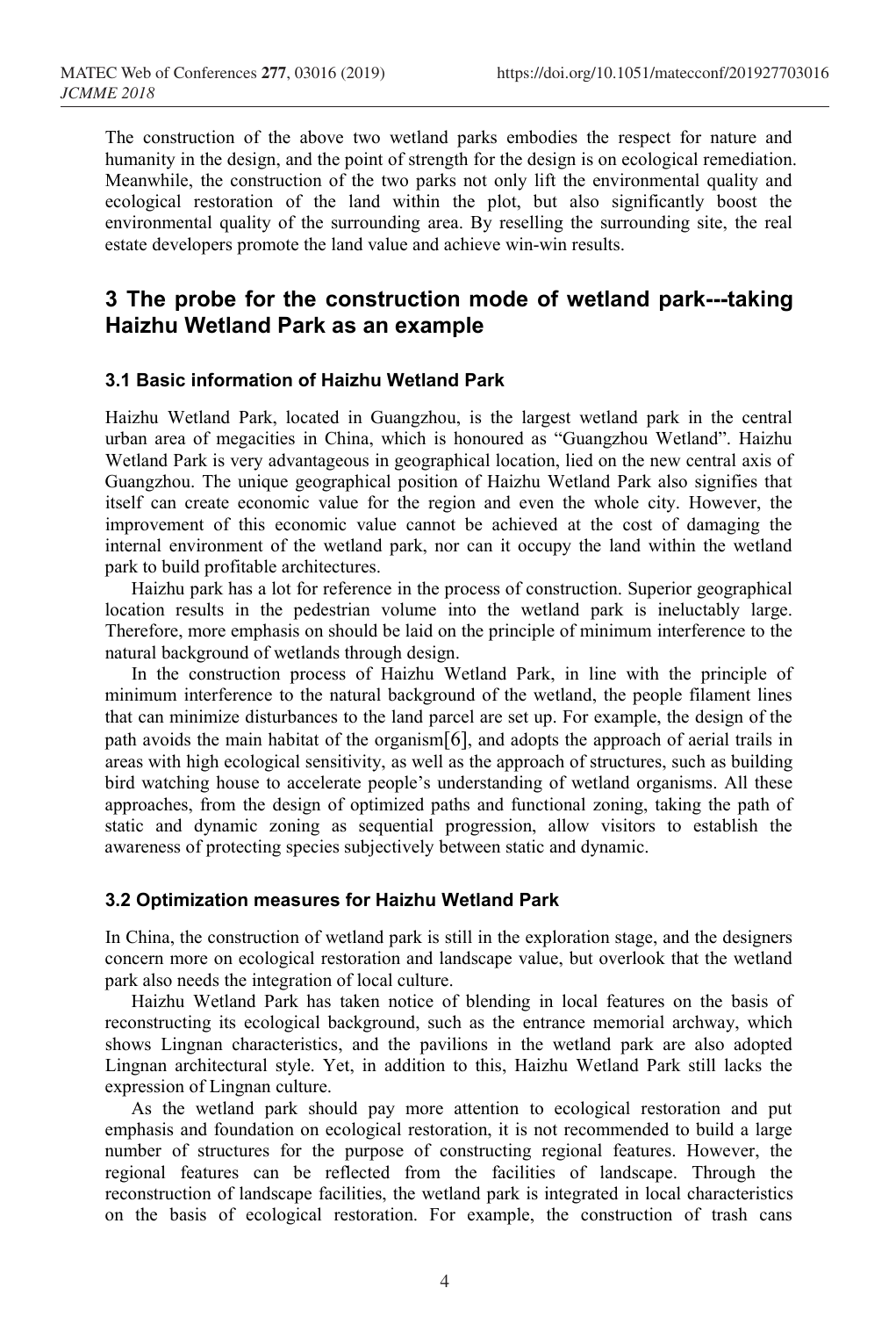The construction of the above two wetland parks embodies the respect for nature and humanity in the design, and the point of strength for the design is on ecological remediation. Meanwhile, the construction of the two parks not only lift the environmental quality and ecological restoration of the land within the plot, but also significantly boost the environmental quality of the surrounding area. By reselling the surrounding site, the real estate developers promote the land value and achieve win-win results.

# **3 The probe for the construction mode of wetland park---taking Haizhu Wetland Park as an example**

#### **3.1 Basic information of Haizhu Wetland Park**

Haizhu Wetland Park, located in Guangzhou, is the largest wetland park in the central urban area of megacities in China, which is honoured as "Guangzhou Wetland". Haizhu Wetland Park is very advantageous in geographical location, lied on the new central axis of Guangzhou. The unique geographical position of Haizhu Wetland Park also signifies that itself can create economic value for the region and even the whole city. However, the improvement of this economic value cannot be achieved at the cost of damaging the internal environment of the wetland park, nor can it occupy the land within the wetland park to build profitable architectures.

Haizhu park has a lot for reference in the process of construction. Superior geographical location results in the pedestrian volume into the wetland park is ineluctably large. Therefore, more emphasis on should be laid on the principle of minimum interference to the natural background of wetlands through design.

In the construction process of Haizhu Wetland Park, in line with the principle of minimum interference to the natural background of the wetland, the people filament lines that can minimize disturbances to the land parcel are set up. For example, the design of the path avoids the main habitat of the organism[6], and adopts the approach of aerial trails in areas with high ecological sensitivity, as well as the approach of structures, such as building bird watching house to accelerate people's understanding of wetland organisms. All these approaches, from the design of optimized paths and functional zoning, taking the path of static and dynamic zoning as sequential progression, allow visitors to establish the awareness of protecting species subjectively between static and dynamic.

#### **3.2 Optimization measures for Haizhu Wetland Park**

In China, the construction of wetland park is still in the exploration stage, and the designers concern more on ecological restoration and landscape value, but overlook that the wetland park also needs the integration of local culture.

Haizhu Wetland Park has taken notice of blending in local features on the basis of reconstructing its ecological background, such as the entrance memorial archway, which shows Lingnan characteristics, and the pavilions in the wetland park are also adopted Lingnan architectural style. Yet, in addition to this, Haizhu Wetland Park still lacks the expression of Lingnan culture.

As the wetland park should pay more attention to ecological restoration and put emphasis and foundation on ecological restoration, it is not recommended to build a large number of structures for the purpose of constructing regional features. However, the regional features can be reflected from the facilities of landscape. Through the reconstruction of landscape facilities, the wetland park is integrated in local characteristics on the basis of ecological restoration. For example, the construction of trash cans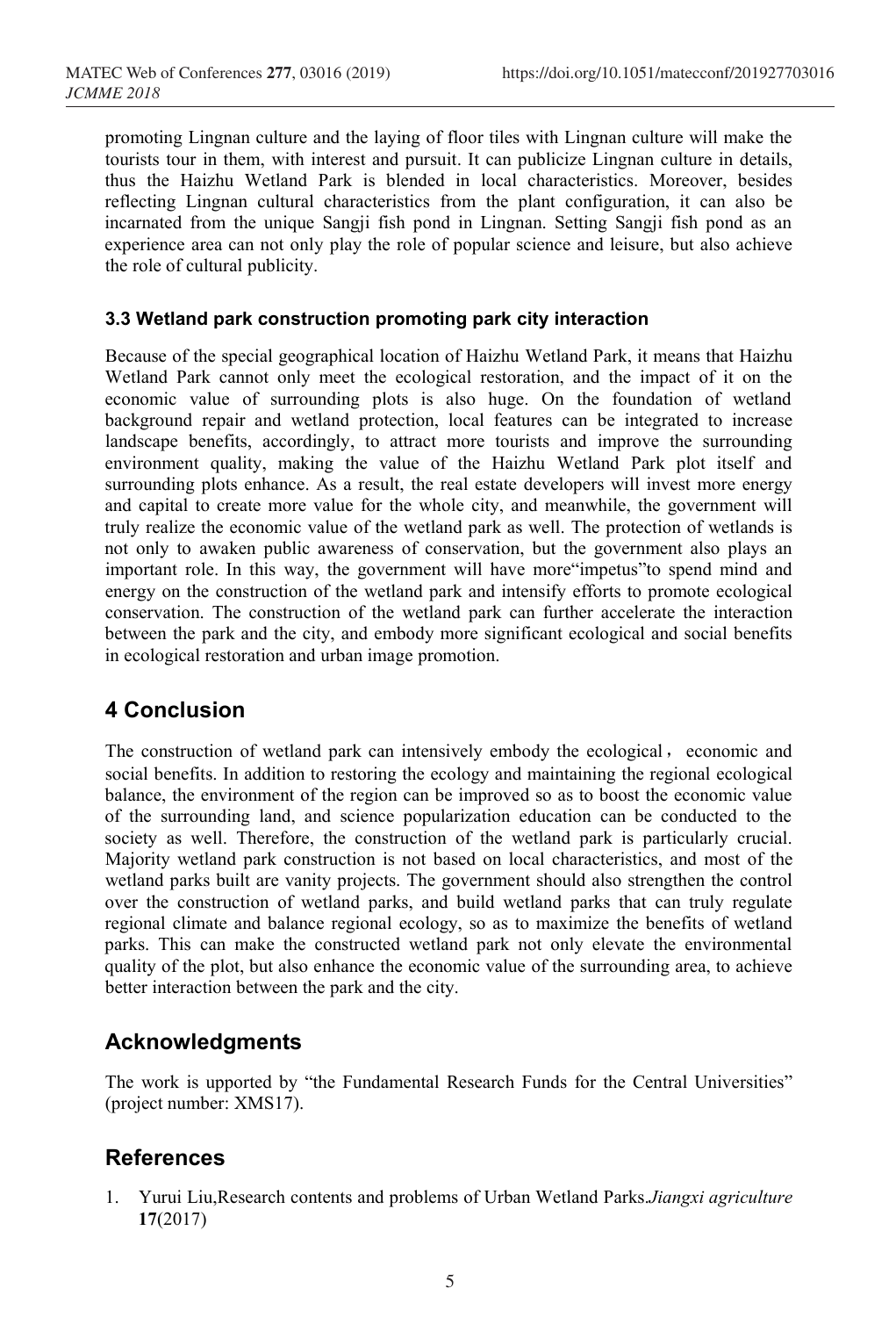promoting Lingnan culture and the laying of floor tiles with Lingnan culture will make the tourists tour in them, with interest and pursuit. It can publicize Lingnan culture in details, thus the Haizhu Wetland Park is blended in local characteristics. Moreover, besides reflecting Lingnan cultural characteristics from the plant configuration, it can also be incarnated from the unique Sangji fish pond in Lingnan. Setting Sangji fish pond as an experience area can not only play the role of popular science and leisure, but also achieve the role of cultural publicity.

### **3.3 Wetland park construction promoting park city interaction**

Because of the special geographical location of Haizhu Wetland Park, it means that Haizhu Wetland Park cannot only meet the ecological restoration, and the impact of it on the economic value of surrounding plots is also huge. On the foundation of wetland background repair and wetland protection, local features can be integrated to increase landscape benefits, accordingly, to attract more tourists and improve the surrounding environment quality, making the value of the Haizhu Wetland Park plot itself and surrounding plots enhance. As a result, the real estate developers will invest more energy and capital to create more value for the whole city, and meanwhile, the government will truly realize the economic value of the wetland park as well. The protection of wetlands is not only to awaken public awareness of conservation, but the government also plays an important role. In this way, the government will have more"impetus"to spend mind and energy on the construction of the wetland park and intensify efforts to promote ecological conservation. The construction of the wetland park can further accelerate the interaction between the park and the city, and embody more significant ecological and social benefits in ecological restoration and urban image promotion.

# **4 Conclusion**

The construction of wetland park can intensively embody the ecological, economic and social benefits. In addition to restoring the ecology and maintaining the regional ecological balance, the environment of the region can be improved so as to boost the economic value of the surrounding land, and science popularization education can be conducted to the society as well. Therefore, the construction of the wetland park is particularly crucial. Majority wetland park construction is not based on local characteristics, and most of the wetland parks built are vanity projects. The government should also strengthen the control over the construction of wetland parks, and build wetland parks that can truly regulate regional climate and balance regional ecology, so as to maximize the benefits of wetland parks. This can make the constructed wetland park not only elevate the environmental quality of the plot, but also enhance the economic value of the surrounding area, to achieve better interaction between the park and the city.

# **Acknowledgments**

The work is upported by "the Fundamental Research Funds for the Central Universities" (project number: XMS17).

# **References**

1. Yurui Liu,Research contents and problems of Urban Wetland Parks.*Jiangxi agriculture* **17**(2017)